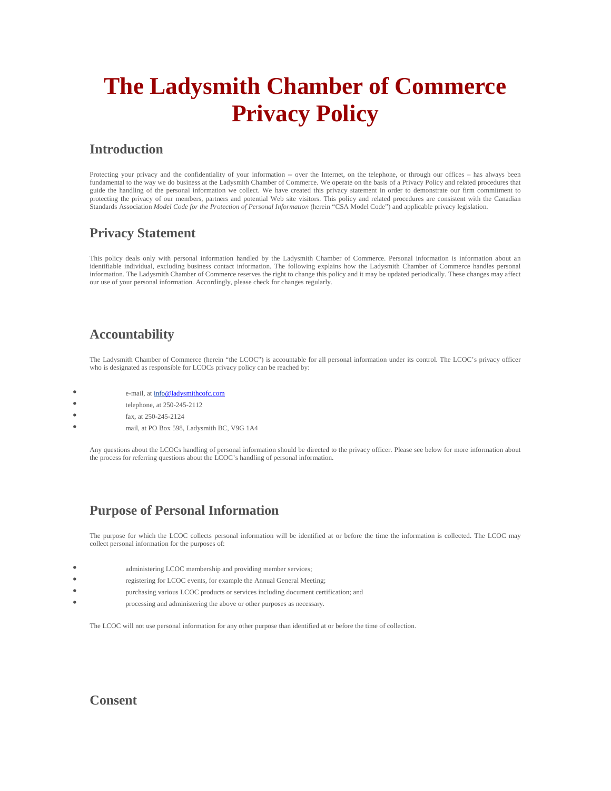# **The Ladysmith Chamber of Commerce Privacy Policy**

### **Introduction**

Protecting your privacy and the confidentiality of your information -- over the Internet, on the telephone, or through our offices – has always been fundamental to the way we do business at the Ladysmith Chamber of Commerce. We operate on the basis of a Privacy Policy and related procedures that guide the handling of the personal information we collect. We have created this privacy statement in order to demonstrate our firm commitment to protecting the privacy of our members, partners and potential Web site visitors. This policy and related procedures are consistent with the Canadian Standards Association *Model Code for the Protection of Personal Information* (herein "CSA Model Code") and applicable privacy legislation.

## **Privacy Statement**

This policy deals only with personal information handled by the Ladysmith Chamber of Commerce. Personal information is information about an identifiable individual, excluding business contact information. The following explains how the Ladysmith Chamber of Commerce handles personal information. The Ladysmith Chamber of Commerce reserves the right to change this policy and it may be updated periodically. These changes may affect our use of your personal information. Accordingly, please check for changes regularly.

# **Accountability**

The Ladysmith Chamber of Commerce (herein "the LCOC") is accountable for all personal information under its control. The LCOC's privacy officer who is designated as responsible for LCOCs privacy policy can be reached by:

- e-mail, at info@ladysmithcofc.com
- $\bullet$  telephone, at 250-245-2112
- fax, at 250-245-2124
- mail, at PO Box 598, Ladysmith BC, V9G 1A4

Any questions about the LCOCs handling of personal information should be directed to the privacy officer. Please see below for more information about the process for referring questions about the LCOC's handling of personal information.

# **Purpose of Personal Information**

The purpose for which the LCOC collects personal information will be identified at or before the time the information is collected. The LCOC may collect personal information for the purposes of:

- administering LCOC membership and providing member services;
- registering for LCOC events, for example the Annual General Meeting;
- purchasing various LCOC products or services including document certification; and
- processing and administering the above or other purposes as necessary.

The LCOC will not use personal information for any other purpose than identified at or before the time of collection.

#### **Consent**